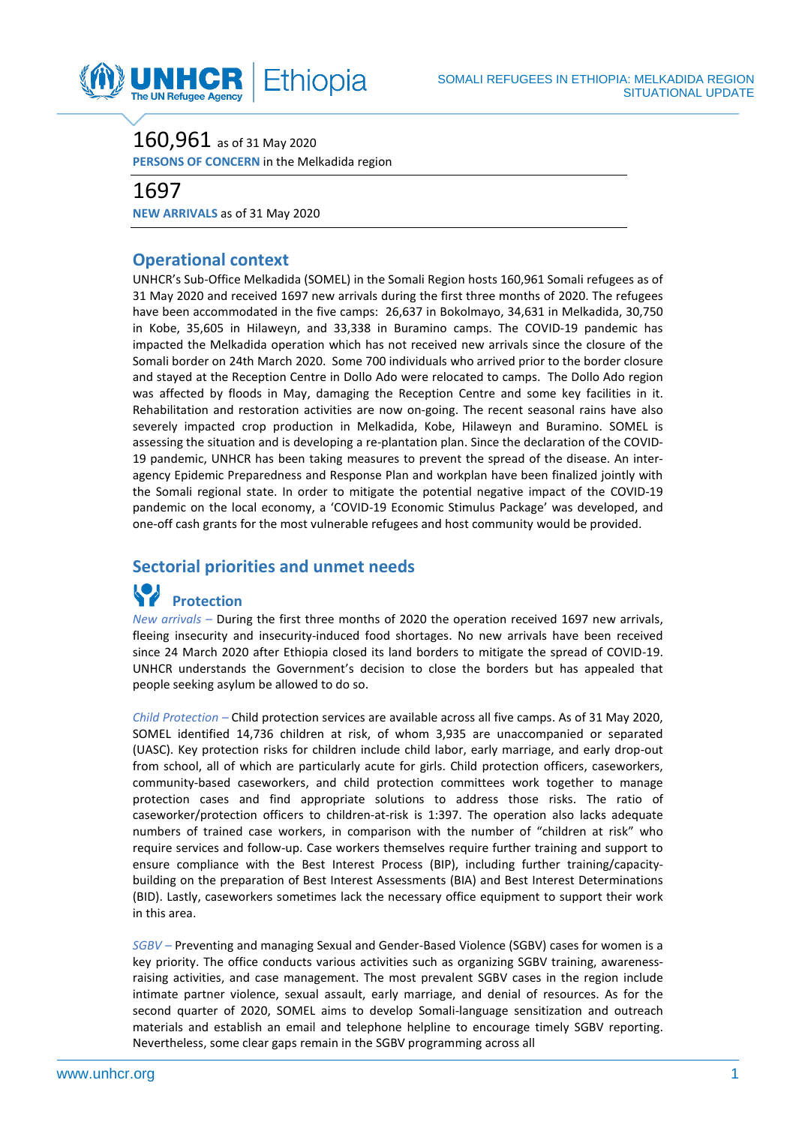

## 160,961 as of 31 May <sup>2020</sup>

**PERSONS OF CONCERN** in the Melkadida region

#### 1697

**NEW ARRIVALS** as of 31 May 2020

#### **Operational context**

UNHCR's Sub-Office Melkadida (SOMEL) in the Somali Region hosts 160,961 Somali refugees as of 31 May 2020 and received 1697 new arrivals during the first three months of 2020. The refugees have been accommodated in the five camps: 26,637 in Bokolmayo, 34,631 in Melkadida, 30,750 in Kobe, 35,605 in Hilaweyn, and 33,338 in Buramino camps. The COVID-19 pandemic has impacted the Melkadida operation which has not received new arrivals since the closure of the Somali border on 24th March 2020. Some 700 individuals who arrived prior to the border closure and stayed at the Reception Centre in Dollo Ado were relocated to camps. The Dollo Ado region was affected by floods in May, damaging the Reception Centre and some key facilities in it. Rehabilitation and restoration activities are now on-going. The recent seasonal rains have also severely impacted crop production in Melkadida, Kobe, Hilaweyn and Buramino. SOMEL is assessing the situation and is developing a re-plantation plan. Since the declaration of the COVID-19 pandemic, UNHCR has been taking measures to prevent the spread of the disease. An interagency Epidemic Preparedness and Response Plan and workplan have been finalized jointly with the Somali regional state. In order to mitigate the potential negative impact of the COVID-19 pandemic on the local economy, a 'COVID-19 Economic Stimulus Package' was developed, and one-off cash grants for the most vulnerable refugees and host community would be provided.

# **Sectorial priorities and unmet needs Protection**

*New arrivals –* During the first three months of 2020 the operation received 1697 new arrivals, fleeing insecurity and insecurity-induced food shortages. No new arrivals have been received since 24 March 2020 after Ethiopia closed its land borders to mitigate the spread of COVID-19. UNHCR understands the Government's decision to close the borders but has appealed that people seeking asylum be allowed to do so.

*Child Protection –* Child protection services are available across all five camps. As of 31 May 2020, SOMEL identified 14,736 children at risk, of whom 3,935 are unaccompanied or separated (UASC). Key protection risks for children include child labor, early marriage, and early drop-out from school, all of which are particularly acute for girls. Child protection officers, caseworkers, community-based caseworkers, and child protection committees work together to manage protection cases and find appropriate solutions to address those risks. The ratio of caseworker/protection officers to children-at-risk is 1:397. The operation also lacks adequate numbers of trained case workers, in comparison with the number of "children at risk" who require services and follow-up. Case workers themselves require further training and support to ensure compliance with the Best Interest Process (BIP), including further training/capacitybuilding on the preparation of Best Interest Assessments (BIA) and Best Interest Determinations (BID). Lastly, caseworkers sometimes lack the necessary office equipment to support their work in this area.

*SGBV –* Preventing and managing Sexual and Gender-Based Violence (SGBV) cases for women is a key priority. The office conducts various activities such as organizing SGBV training, awarenessraising activities, and case management. The most prevalent SGBV cases in the region include intimate partner violence, sexual assault, early marriage, and denial of resources. As for the second quarter of 2020, SOMEL aims to develop Somali-language sensitization and outreach materials and establish an email and telephone helpline to encourage timely SGBV reporting. Nevertheless, some clear gaps remain in the SGBV programming across all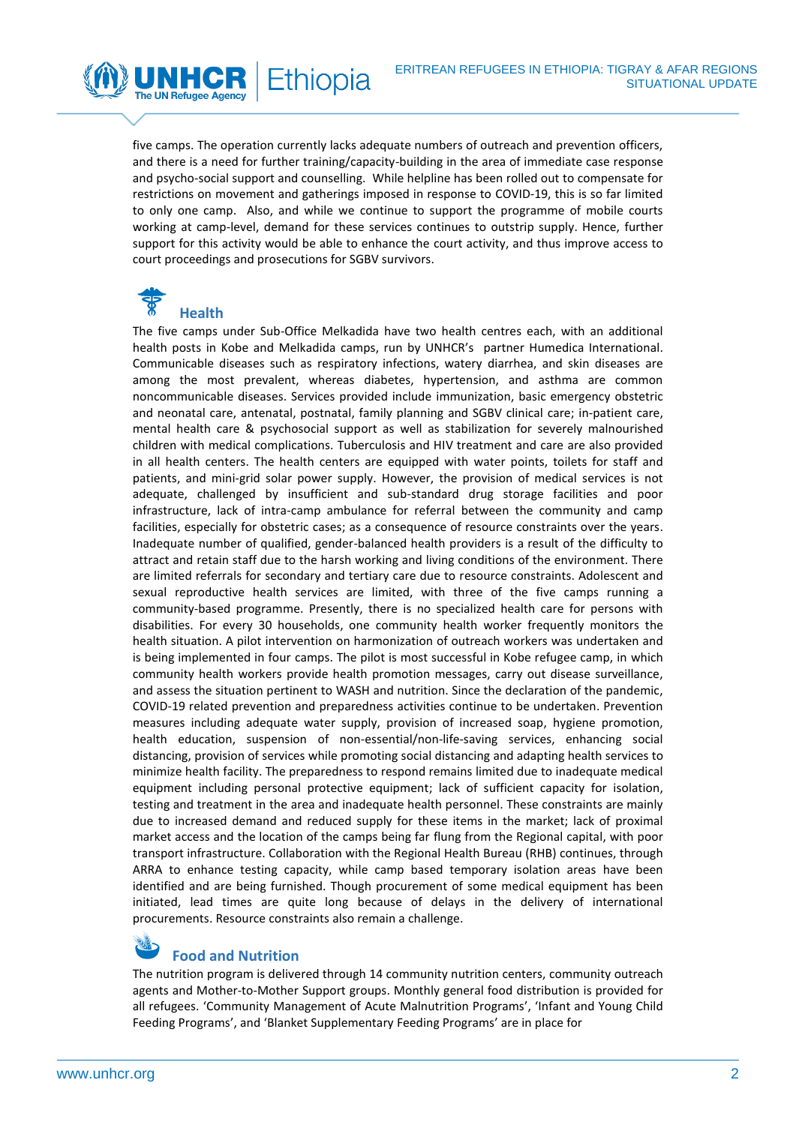five camps. The operation currently lacks adequate numbers of outreach and prevention officers, and there is a need for further training/capacity-building in the area of immediate case response and psycho-social support and counselling. While helpline has been rolled out to compensate for restrictions on movement and gatherings imposed in response to COVID-19, this is so far limited to only one camp. Also, and while we continue to support the programme of mobile courts working at camp-level, demand for these services continues to outstrip supply. Hence, further support for this activity would be able to enhance the court activity, and thus improve access to court proceedings and prosecutions for SGBV survivors.

thiopia



The UN Refugee Agency

The five camps under Sub-Office Melkadida have two health centres each, with an additional health posts in Kobe and Melkadida camps, run by UNHCR's partner Humedica International. Communicable diseases such as respiratory infections, watery diarrhea, and skin diseases are among the most prevalent, whereas diabetes, hypertension, and asthma are common noncommunicable diseases. Services provided include immunization, basic emergency obstetric and neonatal care, antenatal, postnatal, family planning and SGBV clinical care; in-patient care, mental health care & psychosocial support as well as stabilization for severely malnourished children with medical complications. Tuberculosis and HIV treatment and care are also provided in all health centers. The health centers are equipped with water points, toilets for staff and patients, and mini-grid solar power supply. However, the provision of medical services is not adequate, challenged by insufficient and sub-standard drug storage facilities and poor infrastructure, lack of intra-camp ambulance for referral between the community and camp facilities, especially for obstetric cases; as a consequence of resource constraints over the years. Inadequate number of qualified, gender-balanced health providers is a result of the difficulty to attract and retain staff due to the harsh working and living conditions of the environment. There are limited referrals for secondary and tertiary care due to resource constraints. Adolescent and sexual reproductive health services are limited, with three of the five camps running a community-based programme. Presently, there is no specialized health care for persons with disabilities. For every 30 households, one community health worker frequently monitors the health situation. A pilot intervention on harmonization of outreach workers was undertaken and is being implemented in four camps. The pilot is most successful in Kobe refugee camp, in which community health workers provide health promotion messages, carry out disease surveillance, and assess the situation pertinent to WASH and nutrition. Since the declaration of the pandemic, COVID-19 related prevention and preparedness activities continue to be undertaken. Prevention measures including adequate water supply, provision of increased soap, hygiene promotion, health education, suspension of non-essential/non-life-saving services, enhancing social distancing, provision of services while promoting social distancing and adapting health services to minimize health facility. The preparedness to respond remains limited due to inadequate medical equipment including personal protective equipment; lack of sufficient capacity for isolation, testing and treatment in the area and inadequate health personnel. These constraints are mainly due to increased demand and reduced supply for these items in the market; lack of proximal market access and the location of the camps being far flung from the Regional capital, with poor transport infrastructure. Collaboration with the Regional Health Bureau (RHB) continues, through ARRA to enhance testing capacity, while camp based temporary isolation areas have been identified and are being furnished. Though procurement of some medical equipment has been initiated, lead times are quite long because of delays in the delivery of international procurements. Resource constraints also remain a challenge.

#### **Food and Nutrition**

The nutrition program is delivered through 14 community nutrition centers, community outreach agents and Mother-to-Mother Support groups. Monthly general food distribution is provided for all refugees. 'Community Management of Acute Malnutrition Programs', 'Infant and Young Child Feeding Programs', and 'Blanket Supplementary Feeding Programs' are in place for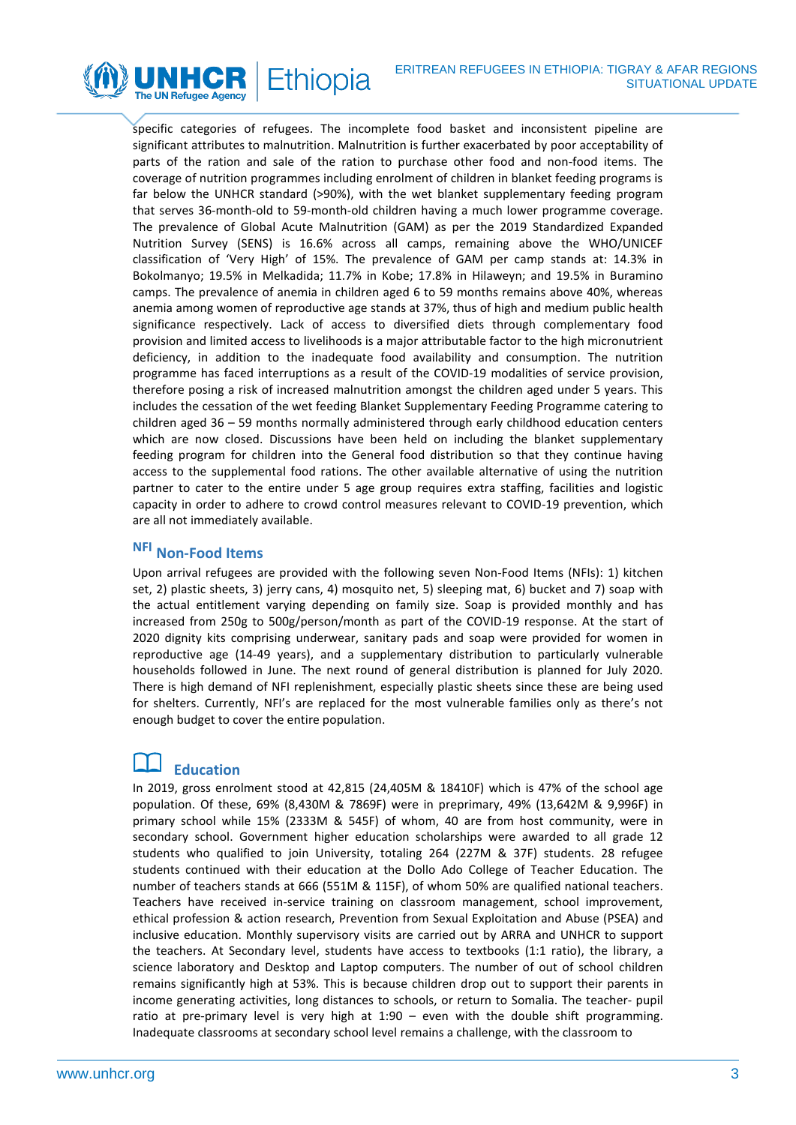

specific categories of refugees. The incomplete food basket and inconsistent pipeline are significant attributes to malnutrition. Malnutrition is further exacerbated by poor acceptability of parts of the ration and sale of the ration to purchase other food and non-food items. The coverage of nutrition programmes including enrolment of children in blanket feeding programs is far below the UNHCR standard (>90%), with the wet blanket supplementary feeding program that serves 36-month-old to 59-month-old children having a much lower programme coverage. The prevalence of Global Acute Malnutrition (GAM) as per the 2019 Standardized Expanded Nutrition Survey (SENS) is 16.6% across all camps, remaining above the WHO/UNICEF classification of 'Very High' of 15%. The prevalence of GAM per camp stands at: 14.3% in Bokolmanyo; 19.5% in Melkadida; 11.7% in Kobe; 17.8% in Hilaweyn; and 19.5% in Buramino camps. The prevalence of anemia in children aged 6 to 59 months remains above 40%, whereas anemia among women of reproductive age stands at 37%, thus of high and medium public health significance respectively. Lack of access to diversified diets through complementary food provision and limited access to livelihoods is a major attributable factor to the high micronutrient deficiency, in addition to the inadequate food availability and consumption. The nutrition programme has faced interruptions as a result of the COVID-19 modalities of service provision, therefore posing a risk of increased malnutrition amongst the children aged under 5 years. This includes the cessation of the wet feeding Blanket Supplementary Feeding Programme catering to children aged 36 – 59 months normally administered through early childhood education centers which are now closed. Discussions have been held on including the blanket supplementary feeding program for children into the General food distribution so that they continue having access to the supplemental food rations. The other available alternative of using the nutrition partner to cater to the entire under 5 age group requires extra staffing, facilities and logistic capacity in order to adhere to crowd control measures relevant to COVID-19 prevention, which are all not immediately available.

### **NFI Non-Food Items**

Upon arrival refugees are provided with the following seven Non-Food Items (NFIs): 1) kitchen set, 2) plastic sheets, 3) jerry cans, 4) mosquito net, 5) sleeping mat, 6) bucket and 7) soap with the actual entitlement varying depending on family size. Soap is provided monthly and has increased from 250g to 500g/person/month as part of the COVID-19 response. At the start of 2020 dignity kits comprising underwear, sanitary pads and soap were provided for women in reproductive age (14-49 years), and a supplementary distribution to particularly vulnerable households followed in June. The next round of general distribution is planned for July 2020. There is high demand of NFI replenishment, especially plastic sheets since these are being used for shelters. Currently, NFI's are replaced for the most vulnerable families only as there's not enough budget to cover the entire population.

### **Education**

In 2019, gross enrolment stood at 42,815 (24,405M & 18410F) which is 47% of the school age population. Of these, 69% (8,430M & 7869F) were in preprimary, 49% (13,642M & 9,996F) in primary school while 15% (2333M & 545F) of whom, 40 are from host community, were in secondary school. Government higher education scholarships were awarded to all grade 12 students who qualified to join University, totaling 264 (227M & 37F) students. 28 refugee students continued with their education at the Dollo Ado College of Teacher Education. The number of teachers stands at 666 (551M & 115F), of whom 50% are qualified national teachers. Teachers have received in-service training on classroom management, school improvement, ethical profession & action research, Prevention from Sexual Exploitation and Abuse (PSEA) and inclusive education. Monthly supervisory visits are carried out by ARRA and UNHCR to support the teachers. At Secondary level, students have access to textbooks (1:1 ratio), the library, a science laboratory and Desktop and Laptop computers. The number of out of school children remains significantly high at 53%. This is because children drop out to support their parents in income generating activities, long distances to schools, or return to Somalia. The teacher- pupil ratio at pre-primary level is very high at 1:90 – even with the double shift programming. Inadequate classrooms at secondary school level remains a challenge, with the classroom to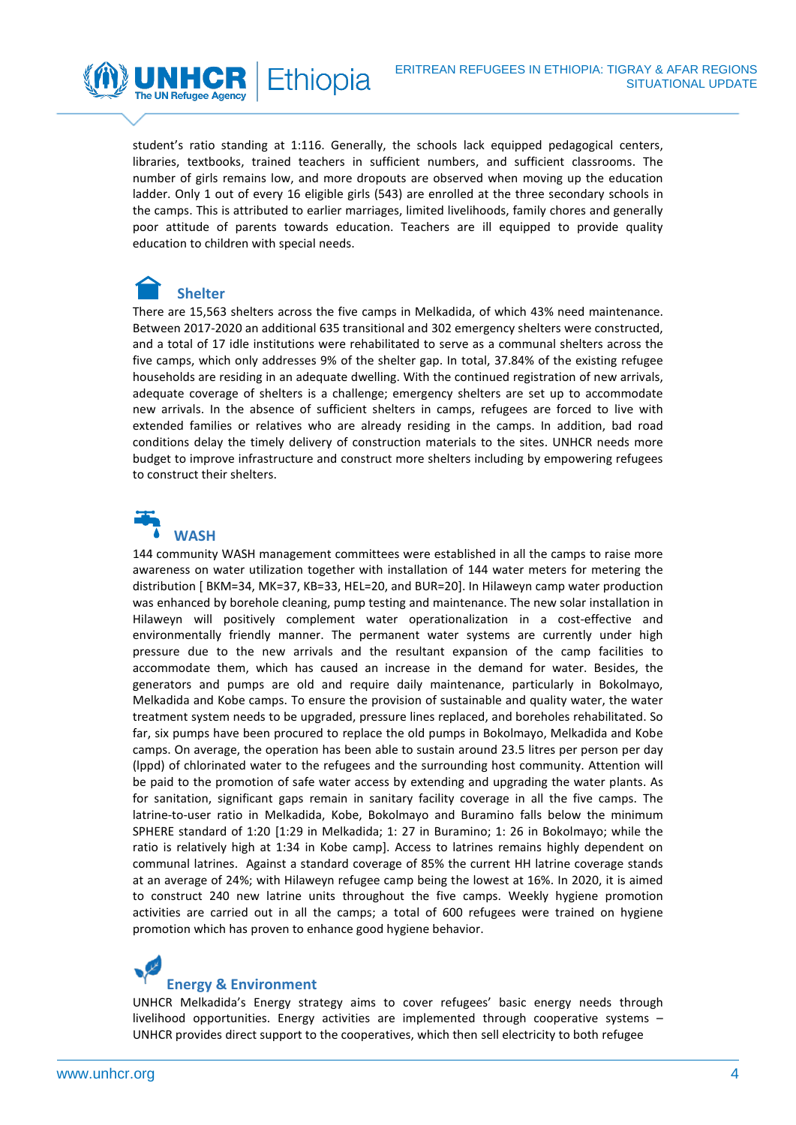student's ratio standing at 1:116. Generally, the schools lack equipped pedagogical centers, libraries, textbooks, trained teachers in sufficient numbers, and sufficient classrooms. The number of girls remains low, and more dropouts are observed when moving up the education ladder. Only 1 out of every 16 eligible girls (543) are enrolled at the three secondary schools in the camps. This is attributed to earlier marriages, limited livelihoods, family chores and generally poor attitude of parents towards education. Teachers are ill equipped to provide quality education to children with special needs.

thiopia

# **Shelter**

The UN Refugee Agency

There are 15,563 shelters across the five camps in Melkadida, of which 43% need maintenance. Between 2017-2020 an additional 635 transitional and 302 emergency shelters were constructed, and a total of 17 idle institutions were rehabilitated to serve as a communal shelters across the five camps, which only addresses 9% of the shelter gap. In total, 37.84% of the existing refugee households are residing in an adequate dwelling. With the continued registration of new arrivals, adequate coverage of shelters is a challenge; emergency shelters are set up to accommodate new arrivals. In the absence of sufficient shelters in camps, refugees are forced to live with extended families or relatives who are already residing in the camps. In addition, bad road conditions delay the timely delivery of construction materials to the sites. UNHCR needs more budget to improve infrastructure and construct more shelters including by empowering refugees to construct their shelters.

**WASH**

144 community WASH management committees were established in all the camps to raise more awareness on water utilization together with installation of 144 water meters for metering the distribution [ BKM=34, MK=37, KB=33, HEL=20, and BUR=20]. In Hilaweyn camp water production was enhanced by borehole cleaning, pump testing and maintenance. The new solar installation in Hilaweyn will positively complement water operationalization in a cost-effective and environmentally friendly manner. The permanent water systems are currently under high pressure due to the new arrivals and the resultant expansion of the camp facilities to accommodate them, which has caused an increase in the demand for water. Besides, the generators and pumps are old and require daily maintenance, particularly in Bokolmayo, Melkadida and Kobe camps. To ensure the provision of sustainable and quality water, the water treatment system needs to be upgraded, pressure lines replaced, and boreholes rehabilitated. So far, six pumps have been procured to replace the old pumps in Bokolmayo, Melkadida and Kobe camps. On average, the operation has been able to sustain around 23.5 litres per person per day (lppd) of chlorinated water to the refugees and the surrounding host community. Attention will be paid to the promotion of safe water access by extending and upgrading the water plants. As for sanitation, significant gaps remain in sanitary facility coverage in all the five camps. The latrine-to-user ratio in Melkadida, Kobe, Bokolmayo and Buramino falls below the minimum SPHERE standard of 1:20 [1:29 in Melkadida; 1: 27 in Buramino; 1: 26 in Bokolmayo; while the ratio is relatively high at 1:34 in Kobe camp]. Access to latrines remains highly dependent on communal latrines. Against a standard coverage of 85% the current HH latrine coverage stands at an average of 24%; with Hilaweyn refugee camp being the lowest at 16%. In 2020, it is aimed to construct 240 new latrine units throughout the five camps. Weekly hygiene promotion activities are carried out in all the camps; a total of 600 refugees were trained on hygiene promotion which has proven to enhance good hygiene behavior.

# **Energy & Environment**

UNHCR Melkadida's Energy strategy aims to cover refugees' basic energy needs through livelihood opportunities. Energy activities are implemented through cooperative systems – UNHCR provides direct support to the cooperatives, which then sell electricity to both refugee